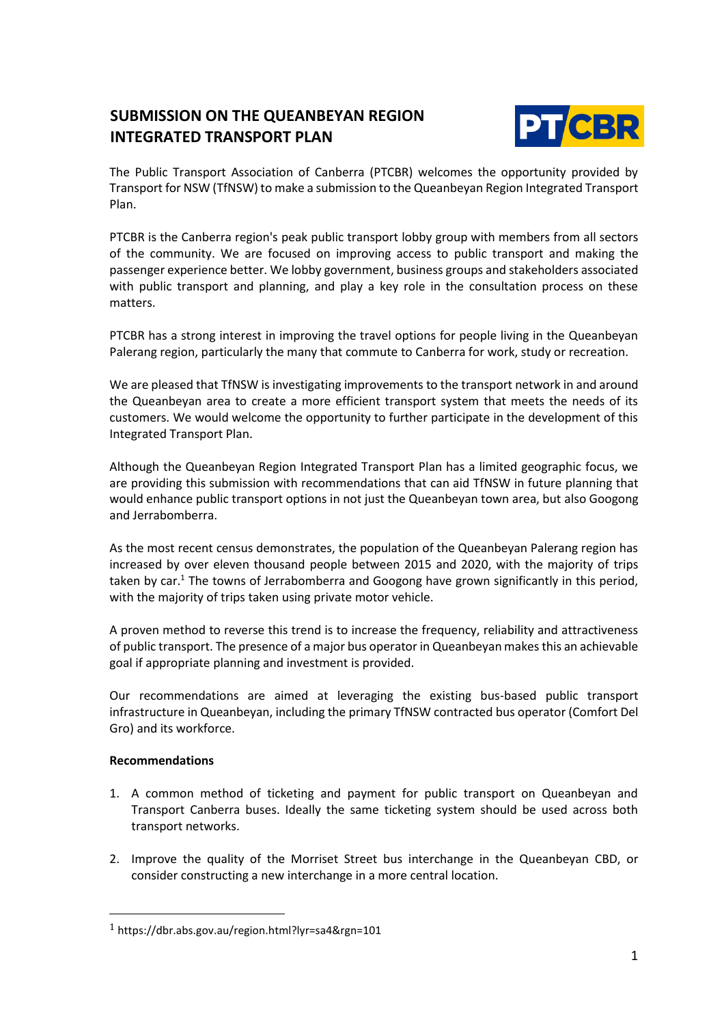## **SUBMISSION ON THE QUEANBEYAN REGION INTEGRATED TRANSPORT PLAN**



The Public Transport Association of Canberra (PTCBR) welcomes the opportunity provided by Transport for NSW (TfNSW) to make a submission to the Queanbeyan Region Integrated Transport Plan.

PTCBR is the Canberra region's peak public transport lobby group with members from all sectors of the community. We are focused on improving access to public transport and making the passenger experience better. We lobby government, business groups and stakeholders associated with public transport and planning, and play a key role in the consultation process on these matters.

PTCBR has a strong interest in improving the travel options for people living in the Queanbeyan Palerang region, particularly the many that commute to Canberra for work, study or recreation.

We are pleased that TfNSW is investigating improvements to the transport network in and around the Queanbeyan area to create a more efficient transport system that meets the needs of its customers. We would welcome the opportunity to further participate in the development of this Integrated Transport Plan.

Although the Queanbeyan Region Integrated Transport Plan has a limited geographic focus, we are providing this submission with recommendations that can aid TfNSW in future planning that would enhance public transport options in not just the Queanbeyan town area, but also Googong and Jerrabomberra.

As the most recent census demonstrates, the population of the Queanbeyan Palerang region has increased by over eleven thousand people between 2015 and 2020, with the majority of trips taken by  $car<sup>1</sup>$ . The towns of Jerrabomberra and Googong have grown significantly in this period, with the majority of trips taken using private motor vehicle.

A proven method to reverse this trend is to increase the frequency, reliability and attractiveness of public transport. The presence of a major bus operator in Queanbeyan makes this an achievable goal if appropriate planning and investment is provided.

Our recommendations are aimed at leveraging the existing bus-based public transport infrastructure in Queanbeyan, including the primary TfNSW contracted bus operator (Comfort Del Gro) and its workforce.

## **Recommendations**

- 1. A common method of ticketing and payment for public transport on Queanbeyan and Transport Canberra buses. Ideally the same ticketing system should be used across both transport networks.
- 2. Improve the quality of the Morriset Street bus interchange in the Queanbeyan CBD, or consider constructing a new interchange in a more central location.

 $1$  <https://dbr.abs.gov.au/region.html?lyr=sa4&rgn=101>